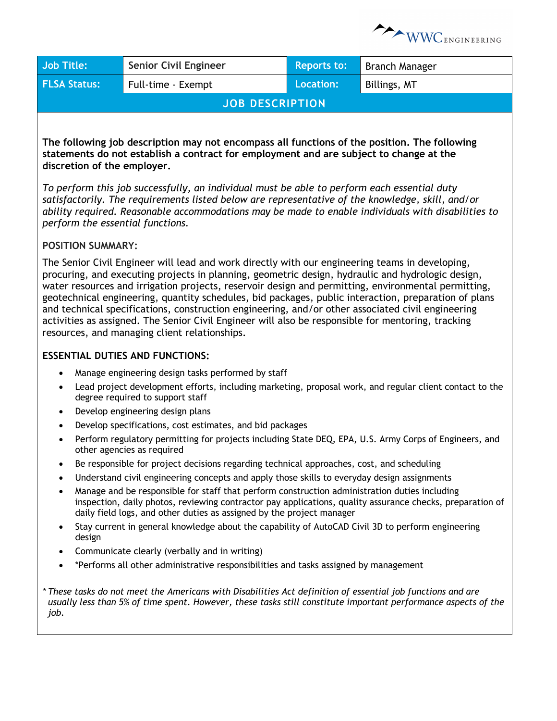

| <b>Job Title:</b>                                                                                                                                                                                                                                                                                                                                                                                                                                                                                                                                                                                                                                                               | <b>Senior Civil Engineer</b>                                                                                                                                                                                                                                                        | <b>Reports to:</b> | <b>Branch Manager</b> |  |
|---------------------------------------------------------------------------------------------------------------------------------------------------------------------------------------------------------------------------------------------------------------------------------------------------------------------------------------------------------------------------------------------------------------------------------------------------------------------------------------------------------------------------------------------------------------------------------------------------------------------------------------------------------------------------------|-------------------------------------------------------------------------------------------------------------------------------------------------------------------------------------------------------------------------------------------------------------------------------------|--------------------|-----------------------|--|
| <b>FLSA Status:</b>                                                                                                                                                                                                                                                                                                                                                                                                                                                                                                                                                                                                                                                             | Full-time - Exempt                                                                                                                                                                                                                                                                  | <b>Location:</b>   | Billings, MT          |  |
| <b>JOB DESCRIPTION</b>                                                                                                                                                                                                                                                                                                                                                                                                                                                                                                                                                                                                                                                          |                                                                                                                                                                                                                                                                                     |                    |                       |  |
|                                                                                                                                                                                                                                                                                                                                                                                                                                                                                                                                                                                                                                                                                 |                                                                                                                                                                                                                                                                                     |                    |                       |  |
| The following job description may not encompass all functions of the position. The following<br>statements do not establish a contract for employment and are subject to change at the<br>discretion of the employer.<br>To perform this job successfully, an individual must be able to perform each essential duty<br>satisfactorily. The requirements listed below are representative of the knowledge, skill, and/or<br>ability required. Reasonable accommodations may be made to enable individuals with disabilities to                                                                                                                                                  |                                                                                                                                                                                                                                                                                     |                    |                       |  |
| perform the essential functions.                                                                                                                                                                                                                                                                                                                                                                                                                                                                                                                                                                                                                                                |                                                                                                                                                                                                                                                                                     |                    |                       |  |
| <b>POSITION SUMMARY:</b>                                                                                                                                                                                                                                                                                                                                                                                                                                                                                                                                                                                                                                                        |                                                                                                                                                                                                                                                                                     |                    |                       |  |
| The Senior Civil Engineer will lead and work directly with our engineering teams in developing,<br>procuring, and executing projects in planning, geometric design, hydraulic and hydrologic design,<br>water resources and irrigation projects, reservoir design and permitting, environmental permitting,<br>geotechnical engineering, quantity schedules, bid packages, public interaction, preparation of plans<br>and technical specifications, construction engineering, and/or other associated civil engineering<br>activities as assigned. The Senior Civil Engineer will also be responsible for mentoring, tracking<br>resources, and managing client relationships. |                                                                                                                                                                                                                                                                                     |                    |                       |  |
|                                                                                                                                                                                                                                                                                                                                                                                                                                                                                                                                                                                                                                                                                 | <b>ESSENTIAL DUTIES AND FUNCTIONS:</b>                                                                                                                                                                                                                                              |                    |                       |  |
| $\bullet$<br>$\bullet$                                                                                                                                                                                                                                                                                                                                                                                                                                                                                                                                                                                                                                                          | Manage engineering design tasks performed by staff<br>Lead project development efforts, including marketing, proposal work, and regular client contact to the<br>degree required to support staff<br>Develop engineering design plans                                               |                    |                       |  |
| Develop specifications, cost estimates, and bid packages                                                                                                                                                                                                                                                                                                                                                                                                                                                                                                                                                                                                                        |                                                                                                                                                                                                                                                                                     |                    |                       |  |
| $\bullet$                                                                                                                                                                                                                                                                                                                                                                                                                                                                                                                                                                                                                                                                       | Perform regulatory permitting for projects including State DEQ, EPA, U.S. Army Corps of Engineers, and<br>other agencies as required                                                                                                                                                |                    |                       |  |
| $\bullet$                                                                                                                                                                                                                                                                                                                                                                                                                                                                                                                                                                                                                                                                       | Be responsible for project decisions regarding technical approaches, cost, and scheduling                                                                                                                                                                                           |                    |                       |  |
| $\bullet$                                                                                                                                                                                                                                                                                                                                                                                                                                                                                                                                                                                                                                                                       | Understand civil engineering concepts and apply those skills to everyday design assignments                                                                                                                                                                                         |                    |                       |  |
| $\bullet$                                                                                                                                                                                                                                                                                                                                                                                                                                                                                                                                                                                                                                                                       | Manage and be responsible for staff that perform construction administration duties including<br>inspection, daily photos, reviewing contractor pay applications, quality assurance checks, preparation of<br>daily field logs, and other duties as assigned by the project manager |                    |                       |  |

- Stay current in general knowledge about the capability of AutoCAD Civil 3D to perform engineering design
- Communicate clearly (verbally and in writing)
- \*Performs all other administrative responsibilities and tasks assigned by management

*\* These tasks do not meet the Americans with Disabilities Act definition of essential job functions and are usually less than 5% of time spent. However, these tasks still constitute important performance aspects of the job.*